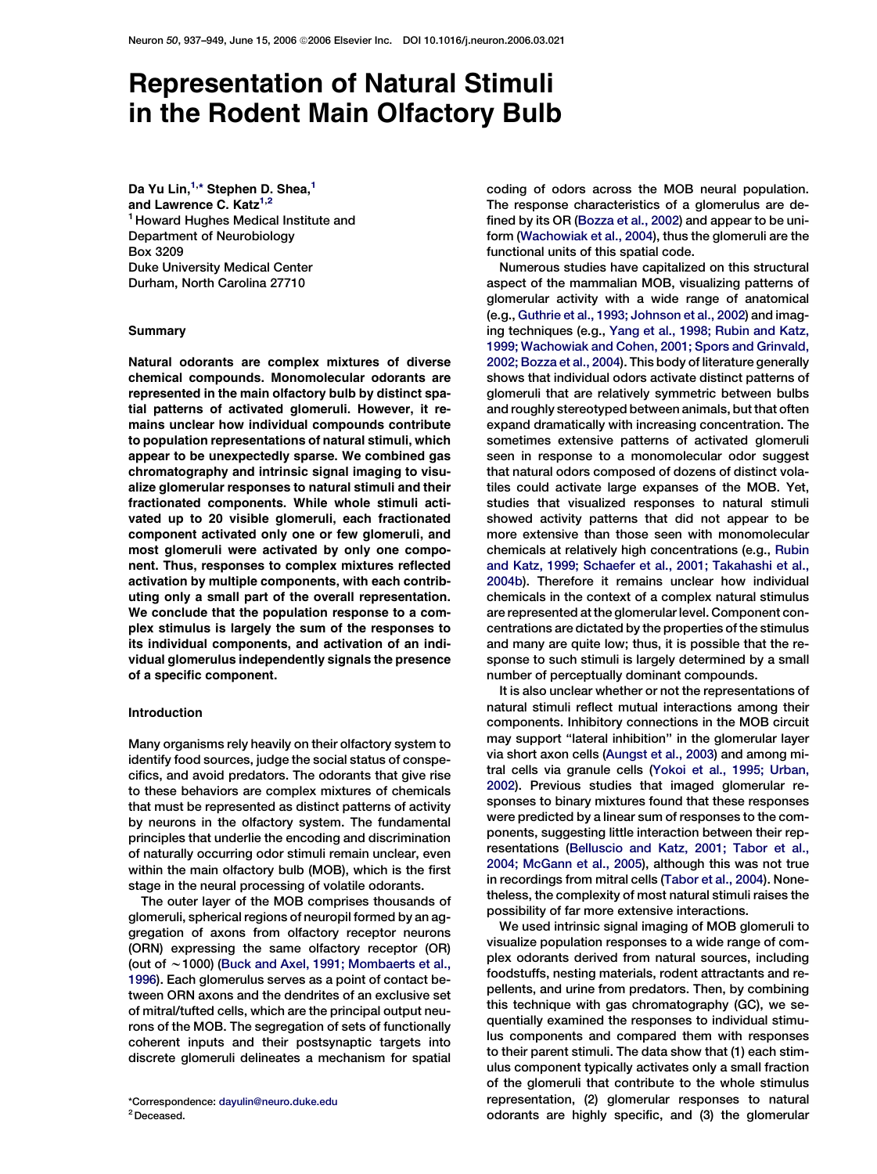# Representation of Natural Stimuli in the Rodent Main Olfactory Bulb

Da Yu Lin,<sup>1,\*</sup> Stephen D. Shea,<sup>1</sup> and Lawrence C. Katz<sup>1,2</sup> <sup>1</sup> Howard Hughes Medical Institute and Department of Neurobiology Box 3209 Duke University Medical Center Durham, North Carolina 27710

## Summary

Natural odorants are complex mixtures of diverse chemical compounds. Monomolecular odorants are represented in the main olfactory bulb by distinct spatial patterns of activated glomeruli. However, it remains unclear how individual compounds contribute to population representations of natural stimuli, which appear to be unexpectedly sparse. We combined gas chromatography and intrinsic signal imaging to visualize glomerular responses to natural stimuli and their fractionated components. While whole stimuli activated up to 20 visible glomeruli, each fractionated component activated only one or few glomeruli, and most glomeruli were activated by only one component. Thus, responses to complex mixtures reflected activation by multiple components, with each contributing only a small part of the overall representation. We conclude that the population response to a complex stimulus is largely the sum of the responses to its individual components, and activation of an individual glomerulus independently signals the presence of a specific component.

## Introduction

Many organisms rely heavily on their olfactory system to identify food sources, judge the social status of conspecifics, and avoid predators. The odorants that give rise to these behaviors are complex mixtures of chemicals that must be represented as distinct patterns of activity by neurons in the olfactory system. The fundamental principles that underlie the encoding and discrimination of naturally occurring odor stimuli remain unclear, even within the main olfactory bulb (MOB), which is the first stage in the neural processing of volatile odorants.

The outer layer of the MOB comprises thousands of glomeruli, spherical regions of neuropil formed by an aggregation of axons from olfactory receptor neurons (ORN) expressing the same olfactory receptor (OR) (out of *w*1000) ([Buck and Axel, 1991; Mombaerts et al.,](#page-11-0) [1996](#page-11-0)). Each glomerulus serves as a point of contact between ORN axons and the dendrites of an exclusive set of mitral/tufted cells, which are the principal output neurons of the MOB. The segregation of sets of functionally coherent inputs and their postsynaptic targets into discrete glomeruli delineates a mechanism for spatial

\*Correspondence: [dayulin@neuro.duke.edu](mailto:dayulin@neuro.duke.edu) 2Deceased.

coding of odors across the MOB neural population. The response characteristics of a glomerulus are defined by its OR ([Bozza et al., 2002](#page-11-0)) and appear to be uniform [\(Wachowiak et al., 2004\)](#page-12-0), thus the glomeruli are the functional units of this spatial code.

Numerous studies have capitalized on this structural aspect of the mammalian MOB, visualizing patterns of glomerular activity with a wide range of anatomical (e.g., [Guthrie et al., 1993; Johnson et al., 2002](#page-11-0)) and imaging techniques (e.g., [Yang et al., 1998; Rubin and Katz,](#page-12-0) [1999; Wachowiak and Cohen, 2001; Spors and Grinvald,](#page-12-0) [2002; Bozza et al., 2004\)](#page-12-0). This body of literature generally shows that individual odors activate distinct patterns of glomeruli that are relatively symmetric between bulbs and roughly stereotyped between animals, but that often expand dramatically with increasing concentration. The sometimes extensive patterns of activated glomeruli seen in response to a monomolecular odor suggest that natural odors composed of dozens of distinct volatiles could activate large expanses of the MOB. Yet, studies that visualized responses to natural stimuli showed activity patterns that did not appear to be more extensive than those seen with monomolecular chemicals at relatively high concentrations (e.g., [Rubin](#page-11-0) [and Katz, 1999; Schaefer et al., 2001; Takahashi et al.,](#page-11-0) [2004b\)](#page-11-0). Therefore it remains unclear how individual chemicals in the context of a complex natural stimulus are represented at the glomerular level. Component concentrations are dictated by the properties of the stimulus and many are quite low; thus, it is possible that the response to such stimuli is largely determined by a small number of perceptually dominant compounds.

It is also unclear whether or not the representations of natural stimuli reflect mutual interactions among their components. Inhibitory connections in the MOB circuit may support "lateral inhibition" in the glomerular layer via short axon cells [\(Aungst et al., 2003](#page-11-0)) and among mitral cells via granule cells ([Yokoi et al., 1995; Urban,](#page-12-0) [2002\)](#page-12-0). Previous studies that imaged glomerular responses to binary mixtures found that these responses were predicted by a linear sum of responses to the components, suggesting little interaction between their representations ([Belluscio and Katz, 2001; Tabor et al.,](#page-11-0) [2004; McGann et al., 2005](#page-11-0)), although this was not true in recordings from mitral cells [\(Tabor et al., 2004](#page-11-0)). Nonetheless, the complexity of most natural stimuli raises the possibility of far more extensive interactions.

We used intrinsic signal imaging of MOB glomeruli to visualize population responses to a wide range of complex odorants derived from natural sources, including foodstuffs, nesting materials, rodent attractants and repellents, and urine from predators. Then, by combining this technique with gas chromatography (GC), we sequentially examined the responses to individual stimulus components and compared them with responses to their parent stimuli. The data show that (1) each stimulus component typically activates only a small fraction of the glomeruli that contribute to the whole stimulus representation, (2) glomerular responses to natural odorants are highly specific, and (3) the glomerular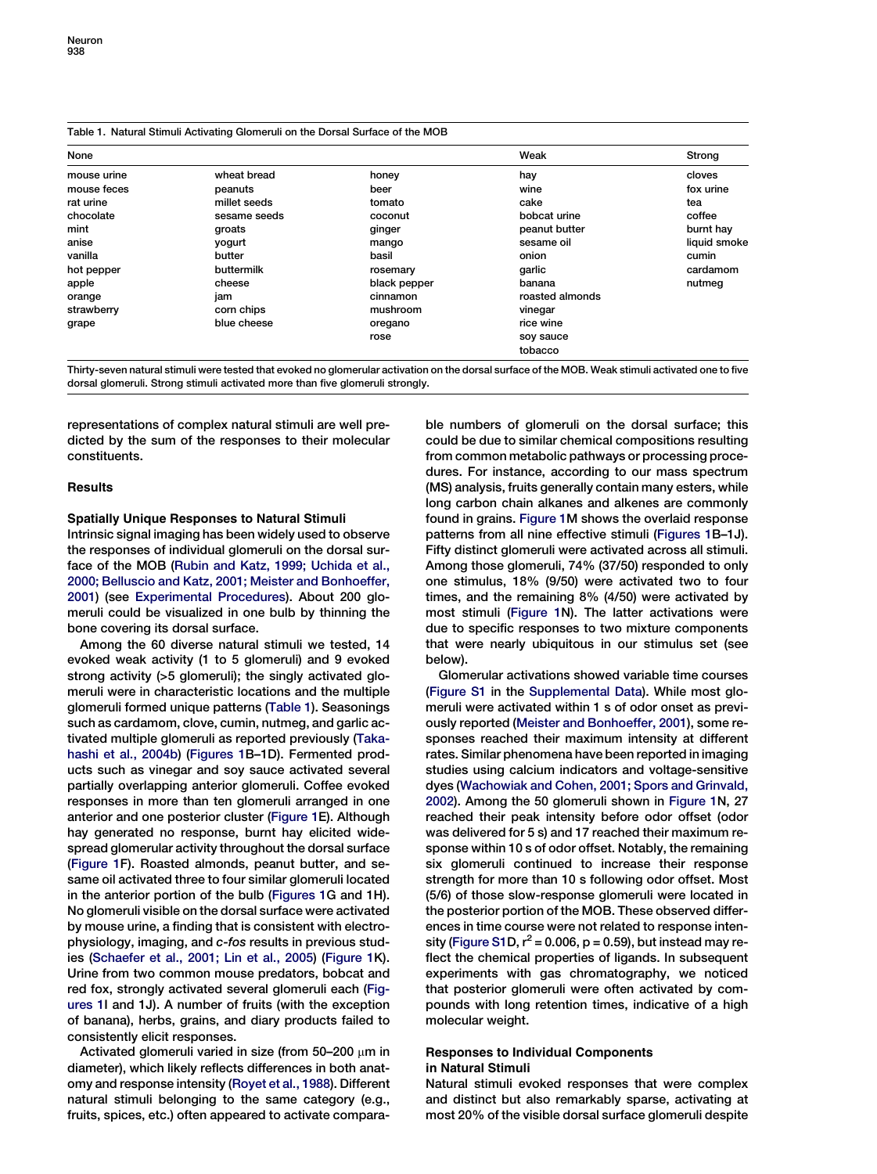| None        |              |              | Weak            | Strong       |
|-------------|--------------|--------------|-----------------|--------------|
| mouse urine | wheat bread  | honey        | hay             | cloves       |
| mouse feces | peanuts      | beer         | wine            | fox urine    |
| rat urine   | millet seeds | tomato       | cake            | tea          |
| chocolate   | sesame seeds | coconut      | bobcat urine    | coffee       |
| mint        | groats       | ginger       | peanut butter   | burnt hay    |
| anise       | yogurt       | mango        | sesame oil      | liquid smoke |
| vanilla     | butter       | basil        | onion           | cumin        |
| hot pepper  | buttermilk   | rosemary     | garlic          | cardamom     |
| apple       | cheese       | black pepper | banana          | nutmeg       |
| orange      | jam          | cinnamon     | roasted almonds |              |
| strawberry  | corn chips   | mushroom     | vinegar         |              |
| grape       | blue cheese  | oregano      | rice wine       |              |
|             |              | rose         | soy sauce       |              |
|             |              |              | tobacco         |              |

Thirty-seven natural stimuli were tested that evoked no glomerular activation on the dorsal surface of the MOB. Weak stimuli activated one to five dorsal glomeruli. Strong stimuli activated more than five glomeruli strongly.

representations of complex natural stimuli are well predicted by the sum of the responses to their molecular constituents.

## Results

## Spatially Unique Responses to Natural Stimuli

Intrinsic signal imaging has been widely used to observe the responses of individual glomeruli on the dorsal surface of the MOB [\(Rubin and Katz, 1999; Uchida et al.,](#page-11-0) [2000; Belluscio and Katz, 2001; Meister and Bonhoeffer,](#page-11-0) [2001\)](#page-11-0) (see [Experimental Procedures\)](#page-9-0). About 200 glomeruli could be visualized in one bulb by thinning the bone covering its dorsal surface.

Among the 60 diverse natural stimuli we tested, 14 evoked weak activity (1 to 5 glomeruli) and 9 evoked strong activity (>5 glomeruli); the singly activated glomeruli were in characteristic locations and the multiple glomeruli formed unique patterns (Table 1). Seasonings such as cardamom, clove, cumin, nutmeg, and garlic activated multiple glomeruli as reported previously ([Taka](#page-11-0)[hashi et al., 2004b\)](#page-11-0) ([Figures 1B](#page-2-0)–1D). Fermented products such as vinegar and soy sauce activated several partially overlapping anterior glomeruli. Coffee evoked responses in more than ten glomeruli arranged in one anterior and one posterior cluster ([Figure 1E](#page-2-0)). Although hay generated no response, burnt hay elicited widespread glomerular activity throughout the dorsal surface [\(Figure 1](#page-2-0)F). Roasted almonds, peanut butter, and sesame oil activated three to four similar glomeruli located in the anterior portion of the bulb [\(Figures 1G](#page-2-0) and 1H). No glomeruli visible on the dorsal surface were activated by mouse urine, a finding that is consistent with electrophysiology, imaging, and c-fos results in previous studies ([Schaefer et al., 2001; Lin et al., 2005\)](#page-11-0) [\(Figure 1K](#page-2-0)). Urine from two common mouse predators, bobcat and red fox, strongly activated several glomeruli each ([Fig](#page-2-0)[ures 1I](#page-2-0) and 1J). A number of fruits (with the exception of banana), herbs, grains, and diary products failed to consistently elicit responses.

Activated glomeruli varied in size (from 50-200  $\mu$ m in diameter), which likely reflects differences in both anatomy and response intensity ([Royet et al., 1988](#page-11-0)). Different natural stimuli belonging to the same category (e.g., fruits, spices, etc.) often appeared to activate comparable numbers of glomeruli on the dorsal surface; this could be due to similar chemical compositions resulting from common metabolic pathways or processing procedures. For instance, according to our mass spectrum (MS) analysis, fruits generally contain many esters, while long carbon chain alkanes and alkenes are commonly found in grains. [Figure 1](#page-2-0)M shows the overlaid response patterns from all nine effective stimuli [\(Figures 1](#page-2-0)B–1J). Fifty distinct glomeruli were activated across all stimuli. Among those glomeruli, 74% (37/50) responded to only one stimulus, 18% (9/50) were activated two to four times, and the remaining 8% (4/50) were activated by most stimuli ([Figure 1N](#page-2-0)). The latter activations were due to specific responses to two mixture components that were nearly ubiquitous in our stimulus set (see below).

Glomerular activations showed variable time courses [\(Figure S1](#page-11-0) in the [Supplemental Data](#page-11-0)). While most glomeruli were activated within 1 s of odor onset as previously reported ([Meister and Bonhoeffer, 2001](#page-11-0)), some responses reached their maximum intensity at different rates. Similar phenomena have been reported in imaging studies using calcium indicators and voltage-sensitive dyes ([Wachowiak and Cohen, 2001; Spors and Grinvald,](#page-12-0) [2002\)](#page-12-0). Among the 50 glomeruli shown in [Figure 1N](#page-2-0), 27 reached their peak intensity before odor offset (odor was delivered for 5 s) and 17 reached their maximum response within 10 s of odor offset. Notably, the remaining six glomeruli continued to increase their response strength for more than 10 s following odor offset. Most (5/6) of those slow-response glomeruli were located in the posterior portion of the MOB. These observed differences in time course were not related to response inten-sity ([Figure S1](#page-11-0)D,  $r^2$  = 0.006, p = 0.59), but instead may reflect the chemical properties of ligands. In subsequent experiments with gas chromatography, we noticed that posterior glomeruli were often activated by compounds with long retention times, indicative of a high molecular weight.

# Responses to Individual Components in Natural Stimuli

Natural stimuli evoked responses that were complex and distinct but also remarkably sparse, activating at most 20% of the visible dorsal surface glomeruli despite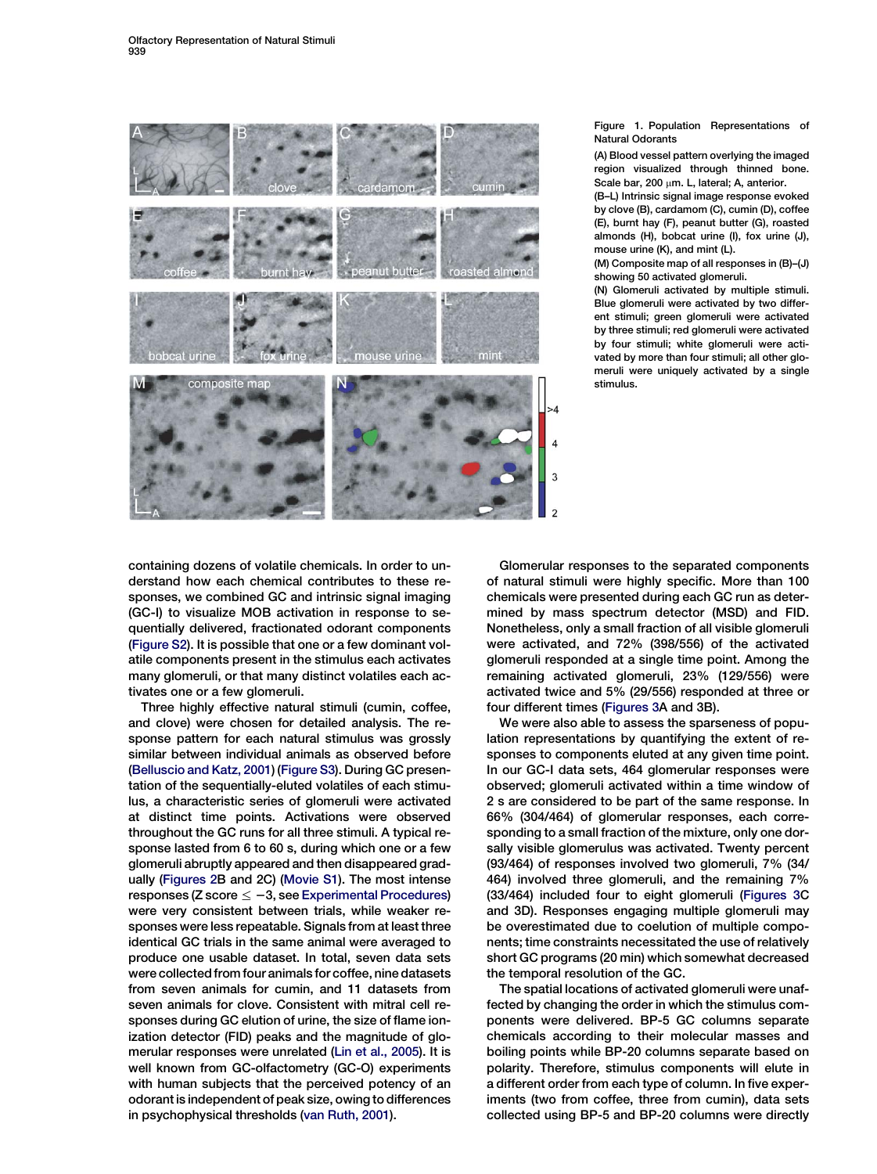<span id="page-2-0"></span>

Figure 1. Population Representations of Natural Odorants

(A) Blood vessel pattern overlying the imaged region visualized through thinned bone. Scale bar, 200  $\mu$ m. L, lateral; A, anterior.

(B–L) Intrinsic signal image response evoked by clove (B), cardamom (C), cumin (D), coffee (E), burnt hay (F), peanut butter (G), roasted almonds (H), bobcat urine (I), fox urine (J), mouse urine (K), and mint (L).

(M) Composite map of all responses in (B)–(J) showing 50 activated glomeruli.

(N) Glomeruli activated by multiple stimuli. Blue glomeruli were activated by two different stimuli; green glomeruli were activated by three stimuli; red glomeruli were activated by four stimuli; white glomeruli were activated by more than four stimuli; all other glomeruli were uniquely activated by a single stimulus.

containing dozens of volatile chemicals. In order to understand how each chemical contributes to these responses, we combined GC and intrinsic signal imaging (GC-I) to visualize MOB activation in response to sequentially delivered, fractionated odorant components [\(Figure S2\)](#page-11-0). It is possible that one or a few dominant volatile components present in the stimulus each activates many glomeruli, or that many distinct volatiles each activates one or a few glomeruli.

Three highly effective natural stimuli (cumin, coffee, and clove) were chosen for detailed analysis. The response pattern for each natural stimulus was grossly similar between individual animals as observed before [\(Belluscio and Katz, 2001](#page-11-0)) [\(Figure S3](#page-11-0)). During GC presentation of the sequentially-eluted volatiles of each stimulus, a characteristic series of glomeruli were activated at distinct time points. Activations were observed throughout the GC runs for all three stimuli. A typical response lasted from 6 to 60 s, during which one or a few glomeruli abruptly appeared and then disappeared gradually ([Figures 2B](#page-3-0) and 2C) [\(Movie S1\)](#page-11-0). The most intense responses (Z score  $\leq -3$ , see [Experimental Procedures](#page-9-0)) were very consistent between trials, while weaker responses were less repeatable. Signals from at least three identical GC trials in the same animal were averaged to produce one usable dataset. In total, seven data sets were collected from four animals for coffee, nine datasets from seven animals for cumin, and 11 datasets from seven animals for clove. Consistent with mitral cell responses during GC elution of urine, the size of flame ionization detector (FID) peaks and the magnitude of glomerular responses were unrelated [\(Lin et al., 2005\)](#page-11-0). It is well known from GC-olfactometry (GC-O) experiments with human subjects that the perceived potency of an odorant is independent of peak size, owing to differences in psychophysical thresholds ([van Ruth, 2001](#page-11-0)).

Glomerular responses to the separated components of natural stimuli were highly specific. More than 100 chemicals were presented during each GC run as determined by mass spectrum detector (MSD) and FID. Nonetheless, only a small fraction of all visible glomeruli were activated, and 72% (398/556) of the activated glomeruli responded at a single time point. Among the remaining activated glomeruli, 23% (129/556) were activated twice and 5% (29/556) responded at three or four different times ([Figures 3A](#page-4-0) and 3B).

We were also able to assess the sparseness of population representations by quantifying the extent of responses to components eluted at any given time point. In our GC-I data sets, 464 glomerular responses were observed; glomeruli activated within a time window of 2 s are considered to be part of the same response. In 66% (304/464) of glomerular responses, each corresponding to a small fraction of the mixture, only one dorsally visible glomerulus was activated. Twenty percent (93/464) of responses involved two glomeruli, 7% (34/ 464) involved three glomeruli, and the remaining 7% (33/464) included four to eight glomeruli ([Figures 3C](#page-4-0) and 3D). Responses engaging multiple glomeruli may be overestimated due to coelution of multiple components; time constraints necessitated the use of relatively short GC programs (20 min) which somewhat decreased the temporal resolution of the GC.

The spatial locations of activated glomeruli were unaffected by changing the order in which the stimulus components were delivered. BP-5 GC columns separate chemicals according to their molecular masses and boiling points while BP-20 columns separate based on polarity. Therefore, stimulus components will elute in a different order from each type of column. In five experiments (two from coffee, three from cumin), data sets collected using BP-5 and BP-20 columns were directly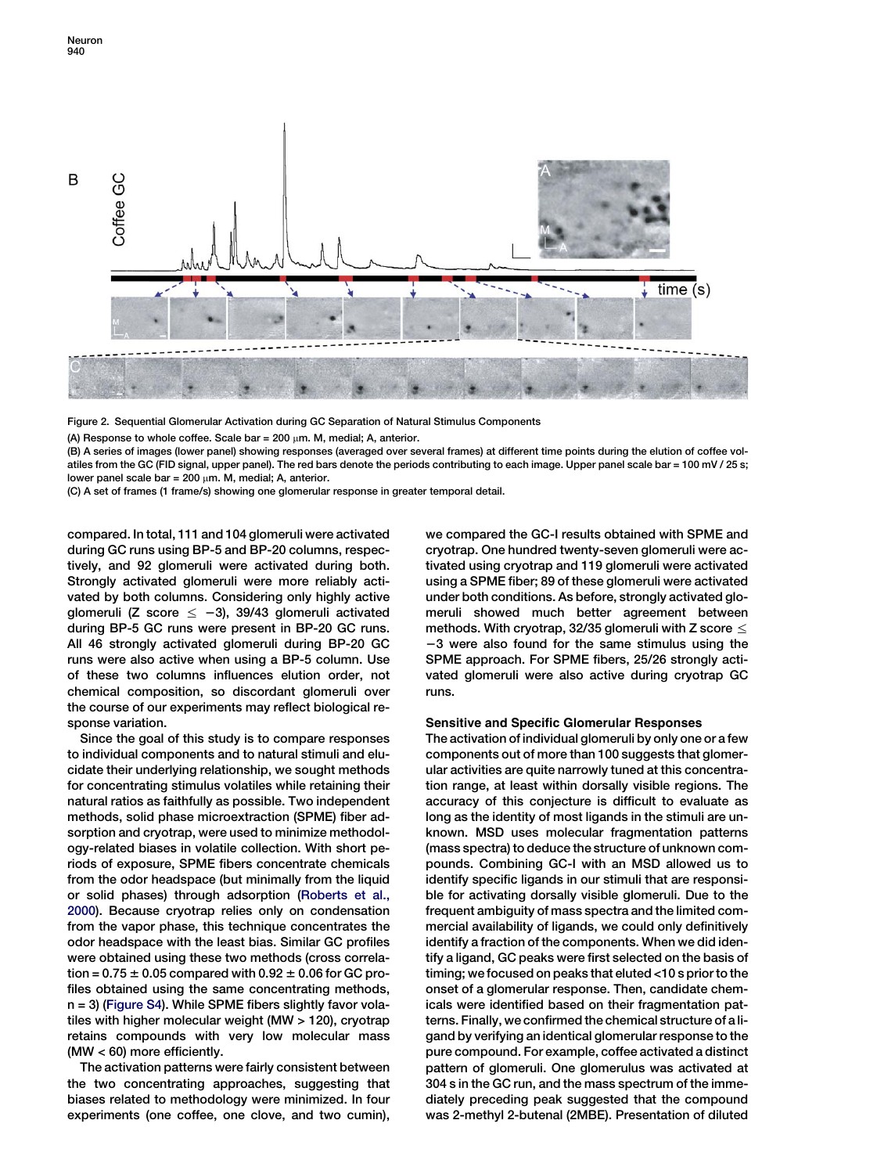<span id="page-3-0"></span>

Figure 2. Sequential Glomerular Activation during GC Separation of Natural Stimulus Components

(A) Response to whole coffee. Scale bar =  $200 \mu m$ . M, medial; A, anterior.

(B) A series of images (lower panel) showing responses (averaged over several frames) at different time points during the elution of coffee volatiles from the GC (FID signal, upper panel). The red bars denote the periods contributing to each image. Upper panel scale bar = 100 mV / 25 s; lower panel scale bar =  $200 \mu m$ . M, medial: A, anterior.

(C) A set of frames (1 frame/s) showing one glomerular response in greater temporal detail.

compared. In total, 111 and 104 glomeruli were activated during GC runs using BP-5 and BP-20 columns, respectively, and 92 glomeruli were activated during both. Strongly activated glomeruli were more reliably activated by both columns. Considering only highly active glomeruli (Z score  $\leq -3$ ), 39/43 glomeruli activated during BP-5 GC runs were present in BP-20 GC runs. All 46 strongly activated glomeruli during BP-20 GC runs were also active when using a BP-5 column. Use of these two columns influences elution order, not chemical composition, so discordant glomeruli over the course of our experiments may reflect biological response variation.

Since the goal of this study is to compare responses to individual components and to natural stimuli and elucidate their underlying relationship, we sought methods for concentrating stimulus volatiles while retaining their natural ratios as faithfully as possible. Two independent methods, solid phase microextraction (SPME) fiber adsorption and cryotrap, were used to minimize methodology-related biases in volatile collection. With short periods of exposure, SPME fibers concentrate chemicals from the odor headspace (but minimally from the liquid or solid phases) through adsorption ([Roberts et al.,](#page-11-0) [2000\)](#page-11-0). Because cryotrap relies only on condensation from the vapor phase, this technique concentrates the odor headspace with the least bias. Similar GC profiles were obtained using these two methods (cross correlation =  $0.75 \pm 0.05$  compared with  $0.92 \pm 0.06$  for GC profiles obtained using the same concentrating methods, n = 3) ([Figure S4\)](#page-11-0). While SPME fibers slightly favor volatiles with higher molecular weight (MW > 120), cryotrap retains compounds with very low molecular mass (MW < 60) more efficiently.

The activation patterns were fairly consistent between the two concentrating approaches, suggesting that biases related to methodology were minimized. In four experiments (one coffee, one clove, and two cumin), we compared the GC-I results obtained with SPME and cryotrap. One hundred twenty-seven glomeruli were activated using cryotrap and 119 glomeruli were activated using a SPME fiber; 89 of these glomeruli were activated under both conditions. As before, strongly activated glomeruli showed much better agreement between methods. With cryotrap, 32/35 glomeruli with Z score  $\leq$  $-3$  were also found for the same stimulus using the SPME approach. For SPME fibers, 25/26 strongly activated glomeruli were also active during cryotrap GC runs.

## Sensitive and Specific Glomerular Responses

The activation of individual glomeruli by only one or a few components out of more than 100 suggests that glomerular activities are quite narrowly tuned at this concentration range, at least within dorsally visible regions. The accuracy of this conjecture is difficult to evaluate as long as the identity of most ligands in the stimuli are unknown. MSD uses molecular fragmentation patterns (mass spectra) to deduce the structure of unknown compounds. Combining GC-I with an MSD allowed us to identify specific ligands in our stimuli that are responsible for activating dorsally visible glomeruli. Due to the frequent ambiguity of mass spectra and the limited commercial availability of ligands, we could only definitively identify a fraction of the components. When we did identify a ligand, GC peaks were first selected on the basis of timing; we focused on peaks that eluted <10 s prior to the onset of a glomerular response. Then, candidate chemicals were identified based on their fragmentation patterns. Finally, we confirmed the chemical structure of a ligand by verifying an identical glomerular response to the pure compound. For example, coffee activated a distinct pattern of glomeruli. One glomerulus was activated at 304 s in the GC run, and the mass spectrum of the immediately preceding peak suggested that the compound was 2-methyl 2-butenal (2MBE). Presentation of diluted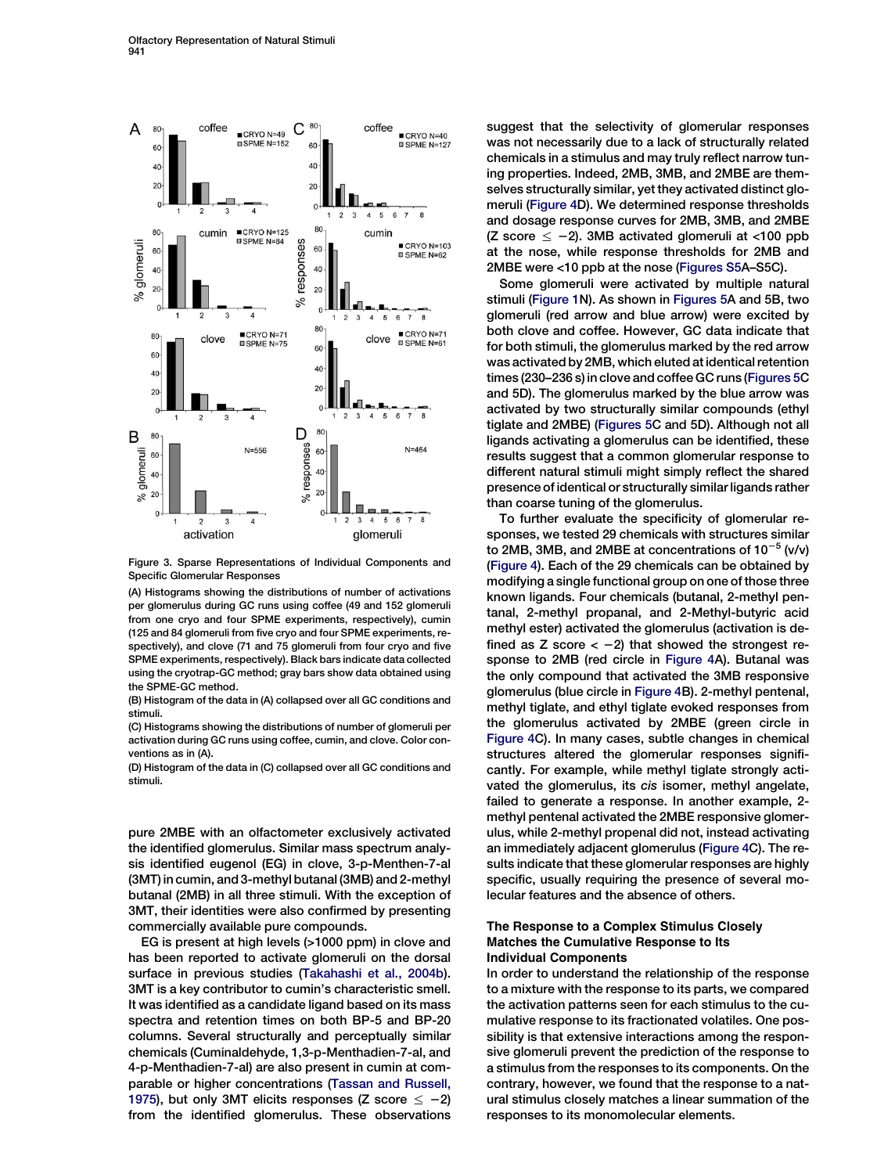<span id="page-4-0"></span>

Figure 3. Sparse Representations of Individual Components and Specific Glomerular Responses

(A) Histograms showing the distributions of number of activations per glomerulus during GC runs using coffee (49 and 152 glomeruli from one cryo and four SPME experiments, respectively), cumin (125 and 84 glomeruli from five cryo and four SPME experiments, respectively), and clove (71 and 75 glomeruli from four cryo and five SPME experiments, respectively). Black bars indicate data collected using the cryotrap-GC method; gray bars show data obtained using the SPME-GC method.

(B) Histogram of the data in (A) collapsed over all GC conditions and stimuli.

(C) Histograms showing the distributions of number of glomeruli per activation during GC runs using coffee, cumin, and clove. Color conventions as in (A).

(D) Histogram of the data in (C) collapsed over all GC conditions and stimuli.

pure 2MBE with an olfactometer exclusively activated the identified glomerulus. Similar mass spectrum analysis identified eugenol (EG) in clove, 3-p-Menthen-7-al (3MT) in cumin, and 3-methyl butanal (3MB) and 2-methyl butanal (2MB) in all three stimuli. With the exception of 3MT, their identities were also confirmed by presenting commercially available pure compounds.

EG is present at high levels (>1000 ppm) in clove and has been reported to activate glomeruli on the dorsal surface in previous studies ([Takahashi et al., 2004b](#page-11-0)). 3MT is a key contributor to cumin's characteristic smell. It was identified as a candidate ligand based on its mass spectra and retention times on both BP-5 and BP-20 columns. Several structurally and perceptually similar chemicals (Cuminaldehyde, 1,3-p-Menthadien-7-al, and 4-p-Menthadien-7-al) are also present in cumin at comparable or higher concentrations ([Tassan and Russell,](#page-11-0) [1975](#page-11-0)), but only 3MT elicits responses (Z score  $\leq -2$ ) from the identified glomerulus. These observations

suggest that the selectivity of glomerular responses was not necessarily due to a lack of structurally related chemicals in a stimulus and may truly reflect narrow tuning properties. Indeed, 2MB, 3MB, and 2MBE are themselves structurally similar, yet they activated distinct glomeruli [\(Figure 4](#page-5-0)D). We determined response thresholds and dosage response curves for 2MB, 3MB, and 2MBE (Z score  $\leq -2$ ). 3MB activated glomeruli at <100 ppb at the nose, while response thresholds for 2MB and 2MBE were <10 ppb at the nose [\(Figures S5A](#page-6-0)–S5C).

Some glomeruli were activated by multiple natural stimuli [\(Figure 1N](#page-2-0)). As shown in [Figures 5](#page-6-0)A and 5B, two glomeruli (red arrow and blue arrow) were excited by both clove and coffee. However, GC data indicate that for both stimuli, the glomerulus marked by the red arrow was activated by 2MB, which eluted at identical retention times (230–236 s) in clove and coffee GC runs ([Figures 5C](#page-6-0) and 5D). The glomerulus marked by the blue arrow was activated by two structurally similar compounds (ethyl tiglate and 2MBE) [\(Figures 5](#page-6-0)C and 5D). Although not all ligands activating a glomerulus can be identified, these results suggest that a common glomerular response to different natural stimuli might simply reflect the shared presence of identical or structurally similar ligands rather than coarse tuning of the glomerulus.

To further evaluate the specificity of glomerular responses, we tested 29 chemicals with structures similar to 2MB, 3MB, and 2MBE at concentrations of  $10^{-5}$  (v/v) [\(Figure 4\)](#page-5-0). Each of the 29 chemicals can be obtained by modifying a single functional group on one of those three known ligands. Four chemicals (butanal, 2-methyl pentanal, 2-methyl propanal, and 2-Methyl-butyric acid methyl ester) activated the glomerulus (activation is defined as Z score  $<-2$ ) that showed the strongest response to 2MB (red circle in [Figure 4A](#page-5-0)). Butanal was the only compound that activated the 3MB responsive glomerulus (blue circle in [Figure 4B](#page-5-0)). 2-methyl pentenal, methyl tiglate, and ethyl tiglate evoked responses from the glomerulus activated by 2MBE (green circle in [Figure 4C](#page-5-0)). In many cases, subtle changes in chemical structures altered the glomerular responses significantly. For example, while methyl tiglate strongly activated the glomerulus, its cis isomer, methyl angelate, failed to generate a response. In another example, 2 methyl pentenal activated the 2MBE responsive glomerulus, while 2-methyl propenal did not, instead activating an immediately adjacent glomerulus ([Figure 4C](#page-5-0)). The results indicate that these glomerular responses are highly specific, usually requiring the presence of several molecular features and the absence of others.

# The Response to a Complex Stimulus Closely Matches the Cumulative Response to Its Individual Components

In order to understand the relationship of the response to a mixture with the response to its parts, we compared the activation patterns seen for each stimulus to the cumulative response to its fractionated volatiles. One possibility is that extensive interactions among the responsive glomeruli prevent the prediction of the response to a stimulus from the responses to its components. On the contrary, however, we found that the response to a natural stimulus closely matches a linear summation of the responses to its monomolecular elements.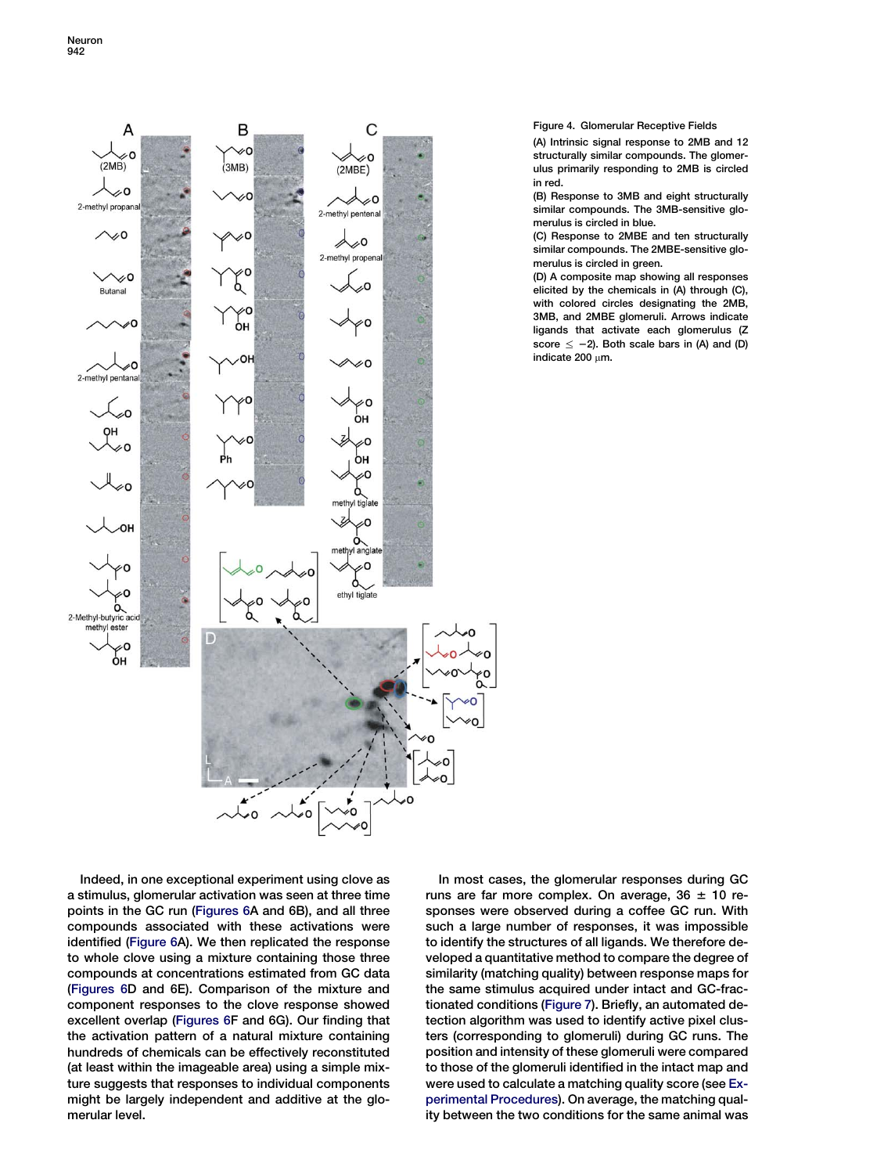<span id="page-5-0"></span>

Figure 4. Glomerular Receptive Fields

(A) Intrinsic signal response to 2MB and 12 structurally similar compounds. The glomerulus primarily responding to 2MB is circled in red.

(B) Response to 3MB and eight structurally similar compounds. The 3MB-sensitive glomerulus is circled in blue.

(C) Response to 2MBE and ten structurally similar compounds. The 2MBE-sensitive glomerulus is circled in green.

(D) A composite map showing all responses elicited by the chemicals in (A) through (C), with colored circles designating the 2MB, 3MB, and 2MBE glomeruli. Arrows indicate ligands that activate each glomerulus (Z score  $\leq -2$ ). Both scale bars in (A) and (D) indicate 200 um.

Indeed, in one exceptional experiment using clove as a stimulus, glomerular activation was seen at three time points in the GC run [\(Figures 6A](#page-6-0) and 6B), and all three compounds associated with these activations were identified [\(Figure 6](#page-6-0)A). We then replicated the response to whole clove using a mixture containing those three compounds at concentrations estimated from GC data [\(Figures 6](#page-6-0)D and 6E). Comparison of the mixture and component responses to the clove response showed excellent overlap [\(Figures 6F](#page-6-0) and 6G). Our finding that the activation pattern of a natural mixture containing hundreds of chemicals can be effectively reconstituted (at least within the imageable area) using a simple mixture suggests that responses to individual components might be largely independent and additive at the glomerular level.

In most cases, the glomerular responses during GC runs are far more complex. On average,  $36 \pm 10$  responses were observed during a coffee GC run. With such a large number of responses, it was impossible to identify the structures of all ligands. We therefore developed a quantitative method to compare the degree of similarity (matching quality) between response maps for the same stimulus acquired under intact and GC-fractionated conditions [\(Figure 7\)](#page-7-0). Briefly, an automated detection algorithm was used to identify active pixel clusters (corresponding to glomeruli) during GC runs. The position and intensity of these glomeruli were compared to those of the glomeruli identified in the intact map and were used to calculate a matching quality score (see [Ex](#page-9-0)[perimental Procedures](#page-9-0)). On average, the matching quality between the two conditions for the same animal was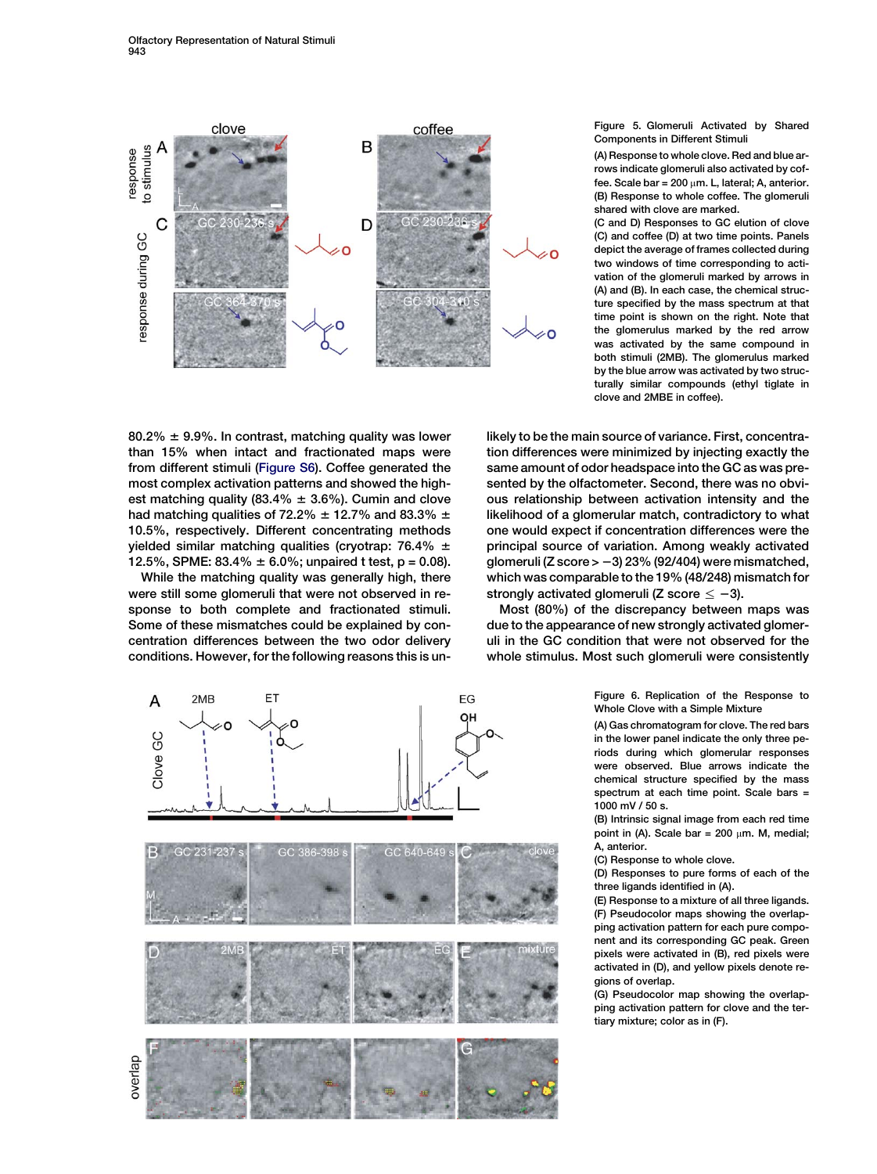<span id="page-6-0"></span>

80.2%  $\pm$  9.9%. In contrast, matching quality was lower than 15% when intact and fractionated maps were from different stimuli ([Figure S6](#page-11-0)). Coffee generated the most complex activation patterns and showed the highest matching quality (83.4%  $\pm$  3.6%). Cumin and clove had matching qualities of 72.2%  $\pm$  12.7% and 83.3%  $\pm$ 10.5%, respectively. Different concentrating methods yielded similar matching qualities (cryotrap: 76.4%  $\pm$ 12.5%, SPME: 83.4%  $\pm$  6.0%; unpaired t test, p = 0.08).

While the matching quality was generally high, there were still some glomeruli that were not observed in response to both complete and fractionated stimuli. Some of these mismatches could be explained by concentration differences between the two odor delivery conditions. However, for the following reasons this is un-



Figure 5. Glomeruli Activated by Shared Components in Different Stimuli

(A) Response to whole clove. Red and blue arrows indicate glomeruli also activated by coffee. Scale bar =  $200 \mu m$ . L, lateral; A, anterior. (B) Response to whole coffee. The glomeruli shared with clove are marked.

(C and D) Responses to GC elution of clove (C) and coffee (D) at two time points. Panels depict the average of frames collected during two windows of time corresponding to activation of the glomeruli marked by arrows in (A) and (B). In each case, the chemical structure specified by the mass spectrum at that time point is shown on the right. Note that the glomerulus marked by the red arrow was activated by the same compound in both stimuli (2MB). The glomerulus marked by the blue arrow was activated by two structurally similar compounds (ethyl tiglate in clove and 2MBE in coffee).

likely to be the main source of variance. First, concentration differences were minimized by injecting exactly the same amount of odor headspace into the GC as was presented by the olfactometer. Second, there was no obvious relationship between activation intensity and the likelihood of a glomerular match, contradictory to what one would expect if concentration differences were the principal source of variation. Among weakly activated glomeruli (Z score  $>$  -3) 23% (92/404) were mismatched, which was comparable to the 19% (48/248) mismatch for strongly activated glomeruli (Z score  $\leq -3$ ).

Most (80%) of the discrepancy between maps was due to the appearance of new strongly activated glomeruli in the GC condition that were not observed for the whole stimulus. Most such glomeruli were consistently

> Figure 6. Replication of the Response to Whole Clove with a Simple Mixture

> (A) Gas chromatogram for clove. The red bars in the lower panel indicate the only three periods during which glomerular responses were observed. Blue arrows indicate the chemical structure specified by the mass spectrum at each time point. Scale bars = 1000 mV / 50 s.

> (B) Intrinsic signal image from each red time point in (A). Scale bar = 200  $\mu$ m. M, medial; A, anterior.

(C) Response to whole clove.

(D) Responses to pure forms of each of the three ligands identified in (A).

(E) Response to a mixture of all three ligands. (F) Pseudocolor maps showing the overlapping activation pattern for each pure component and its corresponding GC peak. Green pixels were activated in (B), red pixels were activated in (D), and yellow pixels denote regions of overlap.

(G) Pseudocolor map showing the overlapping activation pattern for clove and the tertiary mixture; color as in (F).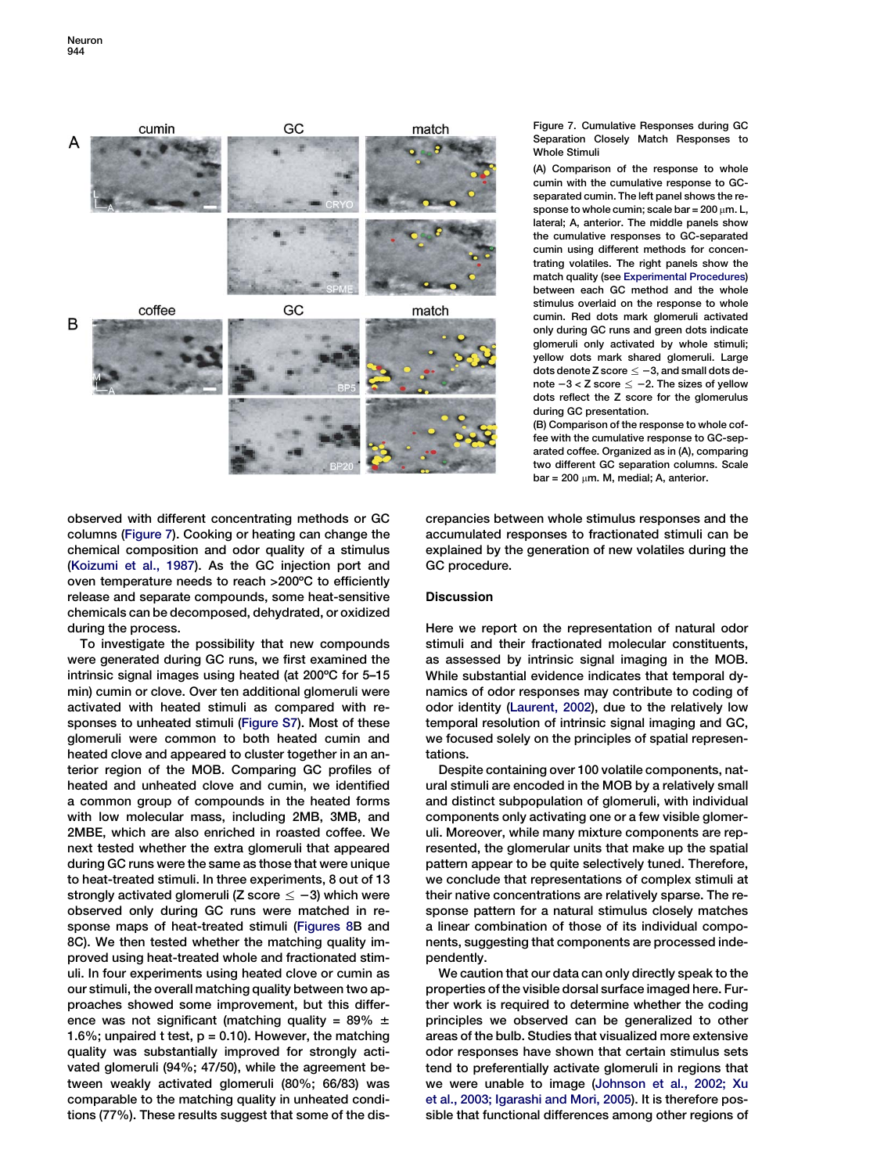<span id="page-7-0"></span>

Figure 7. Cumulative Responses during GC Separation Closely Match Responses to Whole Stimuli

(A) Comparison of the response to whole cumin with the cumulative response to GCseparated cumin. The left panel shows the response to whole cumin; scale bar =  $200 \mu m$ . L, lateral; A, anterior. The middle panels show the cumulative responses to GC-separated cumin using different methods for concentrating volatiles. The right panels show the match quality (see [Experimental Procedures](#page-9-0)) between each GC method and the whole stimulus overlaid on the response to whole cumin. Red dots mark glomeruli activated only during GC runs and green dots indicate glomeruli only activated by whole stimuli; yellow dots mark shared glomeruli. Large dots denote  $Z$  score  $\leq -3$ , and small dots denote  $-3 < Z$  score  $< -2$ . The sizes of yellow dots reflect the Z score for the glomerulus during GC presentation.

(B) Comparison of the response to whole coffee with the cumulative response to GC-separated coffee. Organized as in (A), comparing two different GC separation columns. Scale  $bar = 200 \mu m$ . M, medial; A, anterior.

observed with different concentrating methods or GC columns (Figure 7). Cooking or heating can change the chemical composition and odor quality of a stimulus [\(Koizumi et al., 1987\)](#page-11-0). As the GC injection port and oven temperature needs to reach >200ºC to efficiently release and separate compounds, some heat-sensitive chemicals can be decomposed, dehydrated, or oxidized during the process.

To investigate the possibility that new compounds were generated during GC runs, we first examined the intrinsic signal images using heated (at 200ºC for 5–15 min) cumin or clove. Over ten additional glomeruli were activated with heated stimuli as compared with responses to unheated stimuli [\(Figure S7\)](#page-11-0). Most of these glomeruli were common to both heated cumin and heated clove and appeared to cluster together in an anterior region of the MOB. Comparing GC profiles of heated and unheated clove and cumin, we identified a common group of compounds in the heated forms with low molecular mass, including 2MB, 3MB, and 2MBE, which are also enriched in roasted coffee. We next tested whether the extra glomeruli that appeared during GC runs were the same as those that were unique to heat-treated stimuli. In three experiments, 8 out of 13 strongly activated glomeruli (Z score  $\leq -3$ ) which were observed only during GC runs were matched in response maps of heat-treated stimuli [\(Figures 8B](#page-8-0) and 8C). We then tested whether the matching quality improved using heat-treated whole and fractionated stimuli. In four experiments using heated clove or cumin as our stimuli, the overall matching quality between two approaches showed some improvement, but this difference was not significant (matching quality = 89%  $\pm$ 1.6%; unpaired t test,  $p = 0.10$ ). However, the matching quality was substantially improved for strongly activated glomeruli (94%; 47/50), while the agreement between weakly activated glomeruli (80%; 66/83) was comparable to the matching quality in unheated conditions (77%). These results suggest that some of the discrepancies between whole stimulus responses and the accumulated responses to fractionated stimuli can be explained by the generation of new volatiles during the GC procedure.

## Discussion

Here we report on the representation of natural odor stimuli and their fractionated molecular constituents, as assessed by intrinsic signal imaging in the MOB. While substantial evidence indicates that temporal dynamics of odor responses may contribute to coding of odor identity [\(Laurent, 2002](#page-11-0)), due to the relatively low temporal resolution of intrinsic signal imaging and GC, we focused solely on the principles of spatial representations.

Despite containing over 100 volatile components, natural stimuli are encoded in the MOB by a relatively small and distinct subpopulation of glomeruli, with individual components only activating one or a few visible glomeruli. Moreover, while many mixture components are represented, the glomerular units that make up the spatial pattern appear to be quite selectively tuned. Therefore, we conclude that representations of complex stimuli at their native concentrations are relatively sparse. The response pattern for a natural stimulus closely matches a linear combination of those of its individual components, suggesting that components are processed independently.

We caution that our data can only directly speak to the properties of the visible dorsal surface imaged here. Further work is required to determine whether the coding principles we observed can be generalized to other areas of the bulb. Studies that visualized more extensive odor responses have shown that certain stimulus sets tend to preferentially activate glomeruli in regions that we were unable to image [\(Johnson et al., 2002; Xu](#page-11-0) [et al., 2003; Igarashi and Mori, 2005](#page-11-0)). It is therefore possible that functional differences among other regions of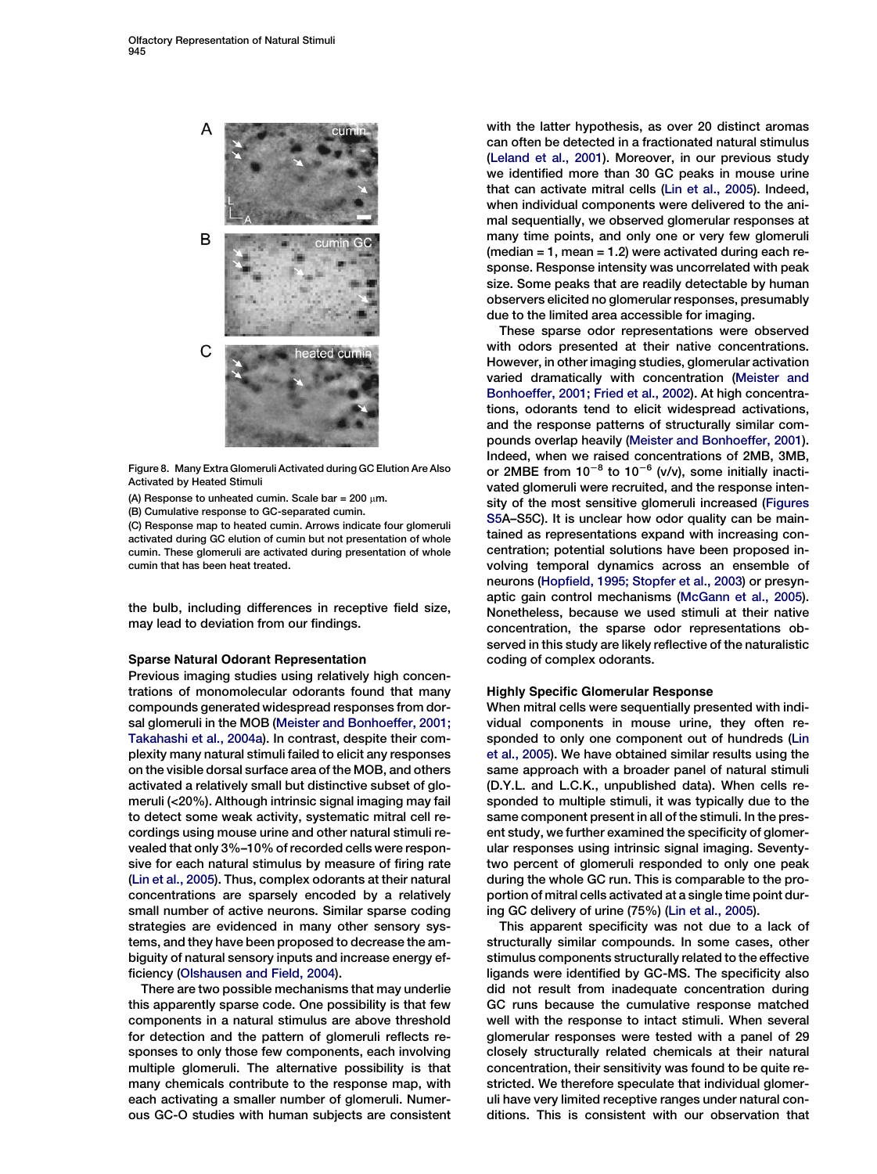<span id="page-8-0"></span>

Figure 8. Many Extra Glomeruli Activated during GC Elution Are Also Activated by Heated Stimuli

(A) Response to unheated cumin. Scale bar =  $200 \mu m$ .

(B) Cumulative response to GC-separated cumin.

(C) Response map to heated cumin. Arrows indicate four glomeruli activated during GC elution of cumin but not presentation of whole cumin. These glomeruli are activated during presentation of whole cumin that has been heat treated.

the bulb, including differences in receptive field size, may lead to deviation from our findings.

# Sparse Natural Odorant Representation

Previous imaging studies using relatively high concentrations of monomolecular odorants found that many compounds generated widespread responses from dorsal glomeruli in the MOB [\(Meister and Bonhoeffer, 2001;](#page-11-0) [Takahashi et al., 2004a](#page-11-0)). In contrast, despite their complexity many natural stimuli failed to elicit any responses on the visible dorsal surface area of the MOB, and others activated a relatively small but distinctive subset of glomeruli (<20%). Although intrinsic signal imaging may fail to detect some weak activity, systematic mitral cell recordings using mouse urine and other natural stimuli revealed that only 3%–10% of recorded cells were responsive for each natural stimulus by measure of firing rate [\(Lin et al., 2005](#page-11-0)). Thus, complex odorants at their natural concentrations are sparsely encoded by a relatively small number of active neurons. Similar sparse coding strategies are evidenced in many other sensory systems, and they have been proposed to decrease the ambiguity of natural sensory inputs and increase energy efficiency [\(Olshausen and Field, 2004\)](#page-11-0).

There are two possible mechanisms that may underlie this apparently sparse code. One possibility is that few components in a natural stimulus are above threshold for detection and the pattern of glomeruli reflects responses to only those few components, each involving multiple glomeruli. The alternative possibility is that many chemicals contribute to the response map, with each activating a smaller number of glomeruli. Numerous GC-O studies with human subjects are consistent

with the latter hypothesis, as over 20 distinct aromas can often be detected in a fractionated natural stimulus [\(Leland et al., 2001](#page-11-0)). Moreover, in our previous study we identified more than 30 GC peaks in mouse urine that can activate mitral cells [\(Lin et al., 2005\)](#page-11-0). Indeed, when individual components were delivered to the animal sequentially, we observed glomerular responses at many time points, and only one or very few glomeruli (median  $= 1$ , mean  $= 1.2$ ) were activated during each response. Response intensity was uncorrelated with peak size. Some peaks that are readily detectable by human observers elicited no glomerular responses, presumably due to the limited area accessible for imaging.

These sparse odor representations were observed with odors presented at their native concentrations. However, in other imaging studies, glomerular activation varied dramatically with concentration ([Meister and](#page-11-0) [Bonhoeffer, 2001; Fried et al., 2002\)](#page-11-0). At high concentrations, odorants tend to elicit widespread activations, and the response patterns of structurally similar compounds overlap heavily ([Meister and Bonhoeffer, 2001](#page-11-0)). Indeed, when we raised concentrations of 2MB, 3MB, or 2MBE from  $10^{-8}$  to  $10^{-6}$  (v/v), some initially inactivated glomeruli were recruited, and the response intensity of the most sensitive glomeruli increased ([Figures](#page-11-0) [S5A](#page-11-0)–S5C). It is unclear how odor quality can be maintained as representations expand with increasing concentration; potential solutions have been proposed involving temporal dynamics across an ensemble of neurons [\(Hopfield, 1995; Stopfer et al., 2003](#page-11-0)) or presynaptic gain control mechanisms ([McGann et al., 2005](#page-11-0)). Nonetheless, because we used stimuli at their native concentration, the sparse odor representations observed in this study are likely reflective of the naturalistic coding of complex odorants.

## Highly Specific Glomerular Response

When mitral cells were sequentially presented with individual components in mouse urine, they often responded to only one component out of hundreds [\(Lin](#page-11-0) [et al., 2005](#page-11-0)). We have obtained similar results using the same approach with a broader panel of natural stimuli (D.Y.L. and L.C.K., unpublished data). When cells responded to multiple stimuli, it was typically due to the same component present in all of the stimuli. In the present study, we further examined the specificity of glomerular responses using intrinsic signal imaging. Seventytwo percent of glomeruli responded to only one peak during the whole GC run. This is comparable to the proportion of mitral cells activated at a single time point during GC delivery of urine (75%) ([Lin et al., 2005](#page-11-0)).

This apparent specificity was not due to a lack of structurally similar compounds. In some cases, other stimulus components structurally related to the effective ligands were identified by GC-MS. The specificity also did not result from inadequate concentration during GC runs because the cumulative response matched well with the response to intact stimuli. When several glomerular responses were tested with a panel of 29 closely structurally related chemicals at their natural concentration, their sensitivity was found to be quite restricted. We therefore speculate that individual glomeruli have very limited receptive ranges under natural conditions. This is consistent with our observation that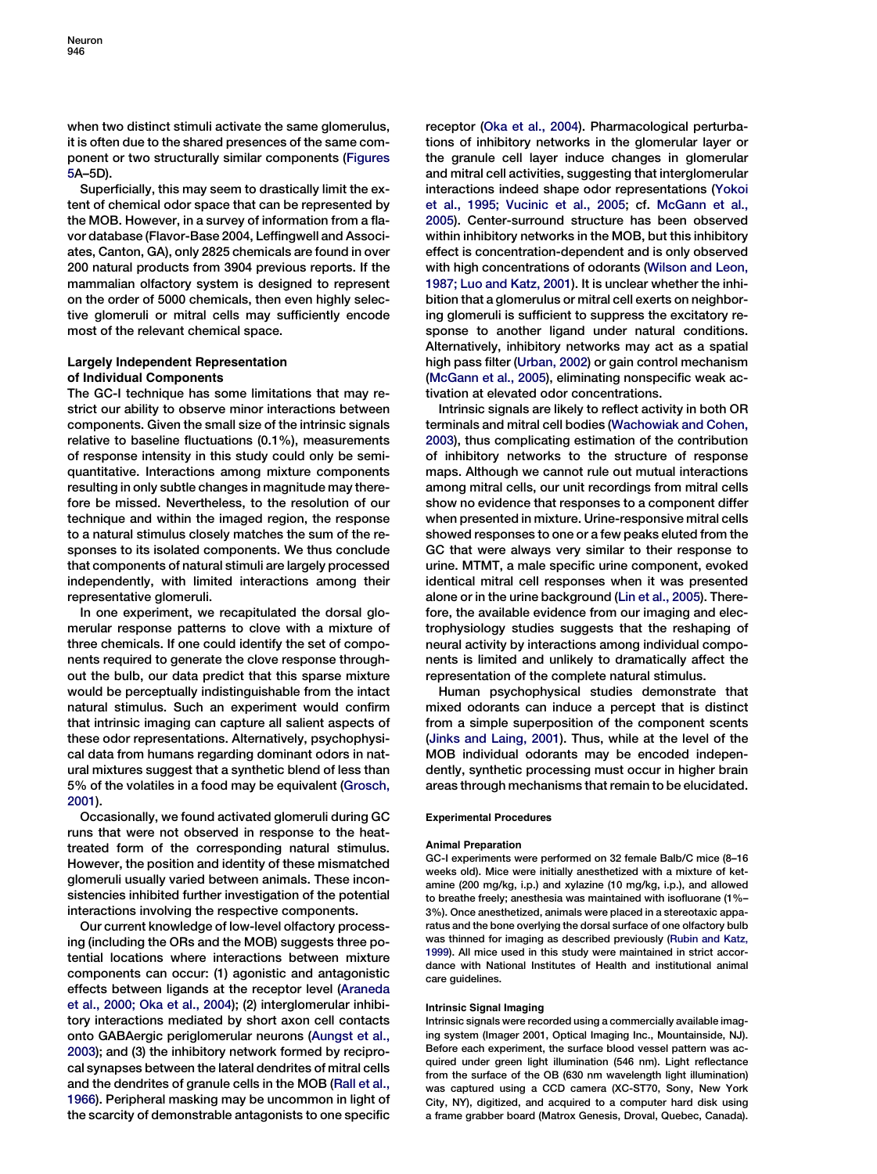<span id="page-9-0"></span>when two distinct stimuli activate the same glomerulus, it is often due to the shared presences of the same component or two structurally similar components [\(Figures](#page-6-0) [5A](#page-6-0)–5D).

Superficially, this may seem to drastically limit the extent of chemical odor space that can be represented by the MOB. However, in a survey of information from a flavor database (Flavor-Base 2004, Leffingwell and Associates, Canton, GA), only 2825 chemicals are found in over 200 natural products from 3904 previous reports. If the mammalian olfactory system is designed to represent on the order of 5000 chemicals, then even highly selective glomeruli or mitral cells may sufficiently encode most of the relevant chemical space.

## Largely Independent Representation of Individual Components

The GC-I technique has some limitations that may restrict our ability to observe minor interactions between components. Given the small size of the intrinsic signals relative to baseline fluctuations (0.1%), measurements of response intensity in this study could only be semiquantitative. Interactions among mixture components resulting in only subtle changes in magnitude may therefore be missed. Nevertheless, to the resolution of our technique and within the imaged region, the response to a natural stimulus closely matches the sum of the responses to its isolated components. We thus conclude that components of natural stimuli are largely processed independently, with limited interactions among their representative glomeruli.

In one experiment, we recapitulated the dorsal glomerular response patterns to clove with a mixture of three chemicals. If one could identify the set of components required to generate the clove response throughout the bulb, our data predict that this sparse mixture would be perceptually indistinguishable from the intact natural stimulus. Such an experiment would confirm that intrinsic imaging can capture all salient aspects of these odor representations. Alternatively, psychophysical data from humans regarding dominant odors in natural mixtures suggest that a synthetic blend of less than 5% of the volatiles in a food may be equivalent [\(Grosch,](#page-11-0) [2001\)](#page-11-0).

Occasionally, we found activated glomeruli during GC runs that were not observed in response to the heattreated form of the corresponding natural stimulus. However, the position and identity of these mismatched glomeruli usually varied between animals. These inconsistencies inhibited further investigation of the potential interactions involving the respective components.

Our current knowledge of low-level olfactory processing (including the ORs and the MOB) suggests three potential locations where interactions between mixture components can occur: (1) agonistic and antagonistic effects between ligands at the receptor level [\(Araneda](#page-11-0) [et al., 2000; Oka et al., 2004\)](#page-11-0); (2) interglomerular inhibitory interactions mediated by short axon cell contacts onto GABAergic periglomerular neurons ([Aungst et al.,](#page-11-0) [2003\)](#page-11-0); and (3) the inhibitory network formed by reciprocal synapses between the lateral dendrites of mitral cells and the dendrites of granule cells in the MOB ([Rall et al.,](#page-11-0) [1966\)](#page-11-0). Peripheral masking may be uncommon in light of the scarcity of demonstrable antagonists to one specific

receptor ([Oka et al., 2004\)](#page-11-0). Pharmacological perturbations of inhibitory networks in the glomerular layer or the granule cell layer induce changes in glomerular and mitral cell activities, suggesting that interglomerular interactions indeed shape odor representations [\(Yokoi](#page-12-0) [et al., 1995; Vucinic et al., 2005](#page-12-0); cf. [McGann et al.,](#page-11-0) [2005\)](#page-11-0). Center-surround structure has been observed within inhibitory networks in the MOB, but this inhibitory effect is concentration-dependent and is only observed with high concentrations of odorants ([Wilson and Leon,](#page-12-0) [1987; Luo and Katz, 2001](#page-12-0)). It is unclear whether the inhibition that a glomerulus or mitral cell exerts on neighboring glomeruli is sufficient to suppress the excitatory response to another ligand under natural conditions. Alternatively, inhibitory networks may act as a spatial high pass filter [\(Urban, 2002\)](#page-11-0) or gain control mechanism [\(McGann et al., 2005](#page-11-0)), eliminating nonspecific weak activation at elevated odor concentrations.

Intrinsic signals are likely to reflect activity in both OR terminals and mitral cell bodies ([Wachowiak and Cohen,](#page-12-0) [2003\)](#page-12-0), thus complicating estimation of the contribution of inhibitory networks to the structure of response maps. Although we cannot rule out mutual interactions among mitral cells, our unit recordings from mitral cells show no evidence that responses to a component differ when presented in mixture. Urine-responsive mitral cells showed responses to one or a few peaks eluted from the GC that were always very similar to their response to urine. MTMT, a male specific urine component, evoked identical mitral cell responses when it was presented alone or in the urine background [\(Lin et al., 2005](#page-11-0)). Therefore, the available evidence from our imaging and electrophysiology studies suggests that the reshaping of neural activity by interactions among individual components is limited and unlikely to dramatically affect the representation of the complete natural stimulus.

Human psychophysical studies demonstrate that mixed odorants can induce a percept that is distinct from a simple superposition of the component scents [\(Jinks and Laing, 2001](#page-11-0)). Thus, while at the level of the MOB individual odorants may be encoded independently, synthetic processing must occur in higher brain areas through mechanisms that remain to be elucidated.

## Experimental Procedures

#### Animal Preparation

GC-I experiments were performed on 32 female Balb/C mice (8–16 weeks old). Mice were initially anesthetized with a mixture of ketamine (200 mg/kg, i.p.) and xylazine (10 mg/kg, i.p.), and allowed to breathe freely; anesthesia was maintained with isofluorane (1%– 3%). Once anesthetized, animals were placed in a stereotaxic apparatus and the bone overlying the dorsal surface of one olfactory bulb was thinned for imaging as described previously [\(Rubin and Katz,](#page-11-0) [1999\)](#page-11-0). All mice used in this study were maintained in strict accordance with National Institutes of Health and institutional animal care guidelines.

## Intrinsic Signal Imaging

Intrinsic signals were recorded using a commercially available imaging system (Imager 2001, Optical Imaging Inc., Mountainside, NJ). Before each experiment, the surface blood vessel pattern was acquired under green light illumination (546 nm). Light reflectance from the surface of the OB (630 nm wavelength light illumination) was captured using a CCD camera (XC-ST70, Sony, New York City, NY), digitized, and acquired to a computer hard disk using a frame grabber board (Matrox Genesis, Droval, Quebec, Canada).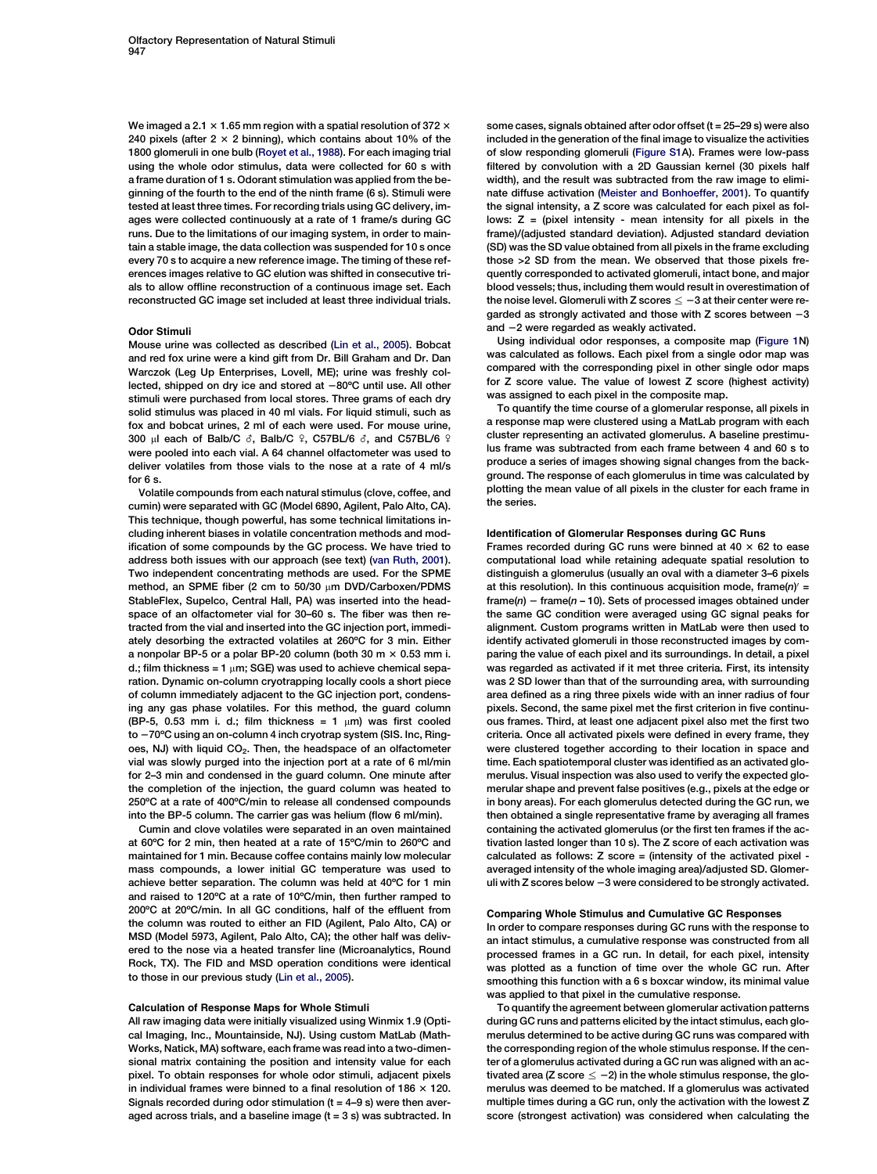We imaged a 2.1  $\times$  1.65 mm region with a spatial resolution of 372  $\times$ 240 pixels (after  $2 \times 2$  binning), which contains about 10% of the 1800 glomeruli in one bulb [\(Royet et al., 1988\)](#page-11-0). For each imaging trial using the whole odor stimulus, data were collected for 60 s with a frame duration of 1 s. Odorant stimulation was applied from the beginning of the fourth to the end of the ninth frame (6 s). Stimuli were tested at least three times. For recording trials using GC delivery, images were collected continuously at a rate of 1 frame/s during GC runs. Due to the limitations of our imaging system, in order to maintain a stable image, the data collection was suspended for 10 s once every 70 s to acquire a new reference image. The timing of these references images relative to GC elution was shifted in consecutive trials to allow offline reconstruction of a continuous image set. Each reconstructed GC image set included at least three individual trials.

## Odor Stimuli

Mouse urine was collected as described ([Lin et al., 2005\)](#page-11-0). Bobcat and red fox urine were a kind gift from Dr. Bill Graham and Dr. Dan Warczok (Leg Up Enterprises, Lovell, ME); urine was freshly collected, shipped on dry ice and stored at  $-80^{\circ}$ C until use. All other stimuli were purchased from local stores. Three grams of each dry solid stimulus was placed in 40 ml vials. For liquid stimuli, such as fox and bobcat urines, 2 ml of each were used. For mouse urine, 300 ul each of Balb/C  $\delta$ , Balb/C  $\frac{6}{7}$ , C57BL/6  $\delta$ , and C57BL/6  $\frac{6}{7}$ were pooled into each vial. A 64 channel olfactometer was used to deliver volatiles from those vials to the nose at a rate of 4 ml/s for 6 s.

Volatile compounds from each natural stimulus (clove, coffee, and cumin) were separated with GC (Model 6890, Agilent, Palo Alto, CA). This technique, though powerful, has some technical limitations including inherent biases in volatile concentration methods and modification of some compounds by the GC process. We have tried to address both issues with our approach (see text) [\(van Ruth, 2001\)](#page-11-0). Two independent concentrating methods are used. For the SPME method, an SPME fiber (2 cm to 50/30 µm DVD/Carboxen/PDMS StableFlex, Supelco, Central Hall, PA) was inserted into the headspace of an olfactometer vial for 30–60 s. The fiber was then retracted from the vial and inserted into the GC injection port, immediately desorbing the extracted volatiles at 260ºC for 3 min. Either a nonpolar BP-5 or a polar BP-20 column (both 30 m  $\times$  0.53 mm i. d.; film thickness = 1  $\mu$ m; SGE) was used to achieve chemical separation. Dynamic on-column cryotrapping locally cools a short piece of column immediately adjacent to the GC injection port, condensing any gas phase volatiles. For this method, the guard column (BP-5, 0.53 mm i. d.; film thickness = 1  $\mu$ m) was first cooled to -70°C using an on-column 4 inch cryotrap system (SIS. Inc, Ringoes, NJ) with liquid CO<sub>2</sub>. Then, the headspace of an olfactometer vial was slowly purged into the injection port at a rate of 6 ml/min for 2–3 min and condensed in the guard column. One minute after the completion of the injection, the guard column was heated to 250ºC at a rate of 400ºC/min to release all condensed compounds into the BP-5 column. The carrier gas was helium (flow 6 ml/min).

Cumin and clove volatiles were separated in an oven maintained at 60ºC for 2 min, then heated at a rate of 15ºC/min to 260ºC and maintained for 1 min. Because coffee contains mainly low molecular mass compounds, a lower initial GC temperature was used to achieve better separation. The column was held at 40ºC for 1 min and raised to 120ºC at a rate of 10ºC/min, then further ramped to 200ºC at 20ºC/min. In all GC conditions, half of the effluent from the column was routed to either an FID (Agilent, Palo Alto, CA) or MSD (Model 5973, Agilent, Palo Alto, CA); the other half was delivered to the nose via a heated transfer line (Microanalytics, Round Rock, TX). The FID and MSD operation conditions were identical to those in our previous study ([Lin et al., 2005](#page-11-0)).

#### Calculation of Response Maps for Whole Stimuli

All raw imaging data were initially visualized using Winmix 1.9 (Optical Imaging, Inc., Mountainside, NJ). Using custom MatLab (Math-Works, Natick, MA) software, each frame was read into a two-dimensional matrix containing the position and intensity value for each pixel. To obtain responses for whole odor stimuli, adjacent pixels in individual frames were binned to a final resolution of  $186 \times 120$ . Signals recorded during odor stimulation  $(t = 4-9 s)$  were then averaged across trials, and a baseline image (t = 3 s) was subtracted. In

some cases, signals obtained after odor offset (t = 25–29 s) were also included in the generation of the final image to visualize the activities of slow responding glomeruli ([Figure S1](#page-11-0)A). Frames were low-pass filtered by convolution with a 2D Gaussian kernel (30 pixels half width), and the result was subtracted from the raw image to eliminate diffuse activation ([Meister and Bonhoeffer, 2001](#page-11-0)). To quantify the signal intensity, a Z score was calculated for each pixel as follows:  $Z =$  (pixel intensity - mean intensity for all pixels in the frame)/(adjusted standard deviation). Adjusted standard deviation (SD) was the SD value obtained from all pixels in the frame excluding those >2 SD from the mean. We observed that those pixels frequently corresponded to activated glomeruli, intact bone, and major blood vessels; thus, including them would result in overestimation of the noise level. Glomeruli with Z scores  $\leq -3$  at their center were regarded as strongly activated and those with  $Z$  scores between  $-3$ and  $-2$  were regarded as weakly activated.

Using individual odor responses, a composite map ([Figure 1N](#page-2-0)) was calculated as follows. Each pixel from a single odor map was compared with the corresponding pixel in other single odor maps for Z score value. The value of lowest Z score (highest activity) was assigned to each pixel in the composite map.

To quantify the time course of a glomerular response, all pixels in a response map were clustered using a MatLab program with each cluster representing an activated glomerulus. A baseline prestimulus frame was subtracted from each frame between 4 and 60 s to produce a series of images showing signal changes from the background. The response of each glomerulus in time was calculated by plotting the mean value of all pixels in the cluster for each frame in the series.

#### Identification of Glomerular Responses during GC Runs

Frames recorded during GC runs were binned at  $40 \times 62$  to ease computational load while retaining adequate spatial resolution to distinguish a glomerulus (usually an oval with a diameter 3–6 pixels at this resolution). In this continuous acquisition mode, frame(n)' =  $frame(n) - frame(n - 10)$ . Sets of processed images obtained under the same GC condition were averaged using GC signal peaks for alignment. Custom programs written in MatLab were then used to identify activated glomeruli in those reconstructed images by comparing the value of each pixel and its surroundings. In detail, a pixel was regarded as activated if it met three criteria. First, its intensity was 2 SD lower than that of the surrounding area, with surrounding area defined as a ring three pixels wide with an inner radius of four pixels. Second, the same pixel met the first criterion in five continuous frames. Third, at least one adjacent pixel also met the first two criteria. Once all activated pixels were defined in every frame, they were clustered together according to their location in space and time. Each spatiotemporal cluster was identified as an activated glomerulus. Visual inspection was also used to verify the expected glomerular shape and prevent false positives (e.g., pixels at the edge or in bony areas). For each glomerulus detected during the GC run, we then obtained a single representative frame by averaging all frames containing the activated glomerulus (or the first ten frames if the activation lasted longer than 10 s). The Z score of each activation was calculated as follows: Z score = (intensity of the activated pixel averaged intensity of the whole imaging area)/adjusted SD. Glomeruli with  $Z$  scores below  $-3$  were considered to be strongly activated.

#### Comparing Whole Stimulus and Cumulative GC Responses

In order to compare responses during GC runs with the response to an intact stimulus, a cumulative response was constructed from all processed frames in a GC run. In detail, for each pixel, intensity was plotted as a function of time over the whole GC run. After smoothing this function with a 6 s boxcar window, its minimal value was applied to that pixel in the cumulative response.

To quantify the agreement between glomerular activation patterns during GC runs and patterns elicited by the intact stimulus, each glomerulus determined to be active during GC runs was compared with the corresponding region of the whole stimulus response. If the center of a glomerulus activated during a GC run was aligned with an activated area (Z score  $\leq -2$ ) in the whole stimulus response, the glomerulus was deemed to be matched. If a glomerulus was activated multiple times during a GC run, only the activation with the lowest Z score (strongest activation) was considered when calculating the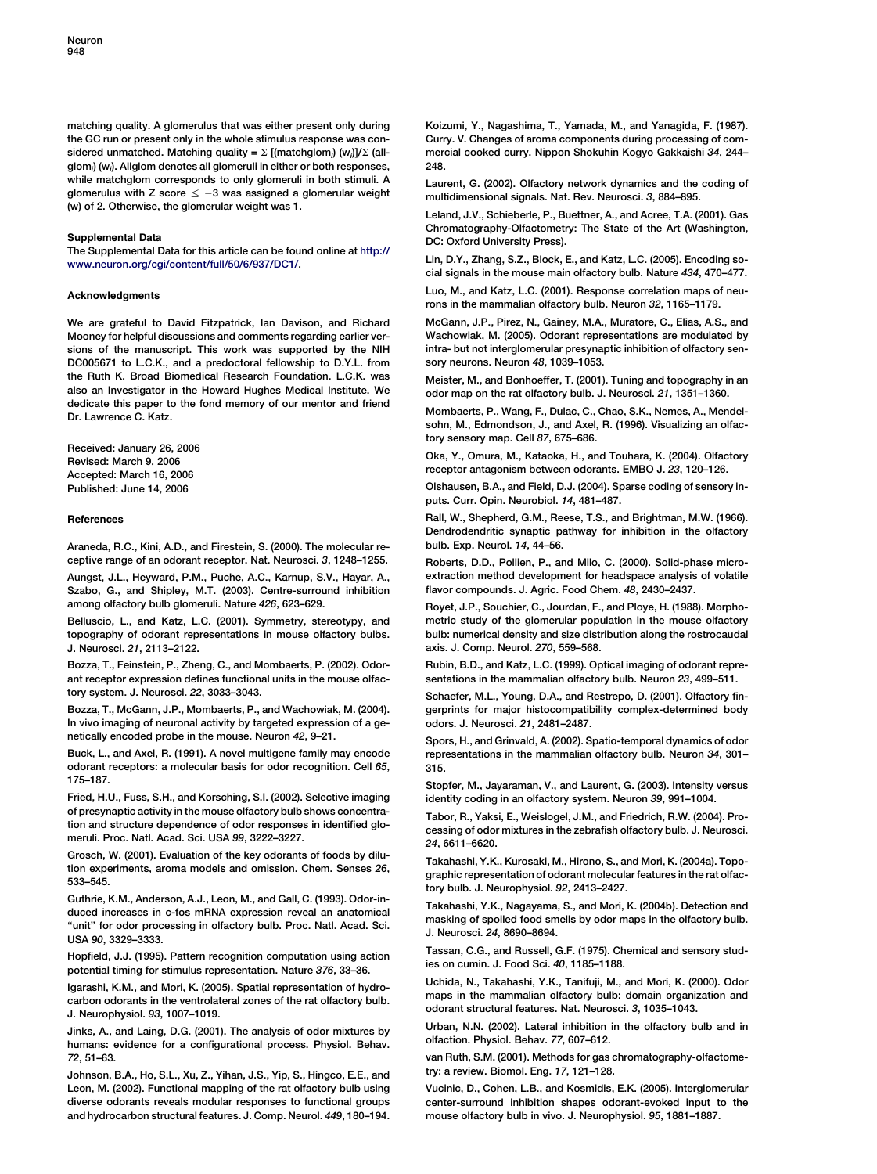<span id="page-11-0"></span>matching quality. A glomerulus that was either present only during the GC run or present only in the whole stimulus response was considered unmatched. Matching quality =  $\Sigma$  [(matchglom,) (w,)]/ $\Sigma$  (allglom,) (w,). Allglom denotes all glomeruli in either or both responses, while matchglom corresponds to only glomeruli in both stimuli. A glomerulus with Z score  $\leq -3$  was assigned a glomerular weight (w) of 2. Otherwise, the glomerular weight was 1.

#### Supplemental Data

The Supplemental Data for this article can be found online at [http://](http://www.neuron.org/cgi/content/full/50/6/937/DC1/) [www.neuron.org/cgi/content/full/50/6/937/DC1/](http://www.neuron.org/cgi/content/full/50/6/937/DC1/).

#### Acknowledgments

We are grateful to David Fitzpatrick, Ian Davison, and Richard Mooney for helpful discussions and comments regarding earlier versions of the manuscript. This work was supported by the NIH DC005671 to L.C.K., and a predoctoral fellowship to D.Y.L. from the Ruth K. Broad Biomedical Research Foundation. L.C.K. was also an Investigator in the Howard Hughes Medical Institute. We dedicate this paper to the fond memory of our mentor and friend Dr. Lawrence C. Katz.

Received: January 26, 2006 Revised: March 9, 2006 Accepted: March 16, 2006 Published: June 14, 2006

#### References

Araneda, R.C., Kini, A.D., and Firestein, S. (2000). The molecular receptive range of an odorant receptor. Nat. Neurosci. 3, 1248–1255.

Aungst, J.L., Heyward, P.M., Puche, A.C., Karnup, S.V., Hayar, A., Szabo, G., and Shipley, M.T. (2003). Centre-surround inhibition among olfactory bulb glomeruli. Nature 426, 623–629.

Belluscio, L., and Katz, L.C. (2001). Symmetry, stereotypy, and topography of odorant representations in mouse olfactory bulbs. J. Neurosci. 21, 2113–2122.

Bozza, T., Feinstein, P., Zheng, C., and Mombaerts, P. (2002). Odorant receptor expression defines functional units in the mouse olfactory system. J. Neurosci. 22, 3033–3043.

Bozza, T., McGann, J.P., Mombaerts, P., and Wachowiak, M. (2004). In vivo imaging of neuronal activity by targeted expression of a genetically encoded probe in the mouse. Neuron 42, 9–21.

Buck, L., and Axel, R. (1991). A novel multigene family may encode odorant receptors: a molecular basis for odor recognition. Cell 65, 175–187.

Fried, H.U., Fuss, S.H., and Korsching, S.I. (2002). Selective imaging of presynaptic activity in the mouse olfactory bulb shows concentration and structure dependence of odor responses in identified glomeruli. Proc. Natl. Acad. Sci. USA 99, 3222–3227.

Grosch, W. (2001). Evaluation of the key odorants of foods by dilution experiments, aroma models and omission. Chem. Senses 26, 533–545.

Guthrie, K.M., Anderson, A.J., Leon, M., and Gall, C. (1993). Odor-induced increases in c-fos mRNA expression reveal an anatomical "unit" for odor processing in olfactory bulb. Proc. Natl. Acad. Sci. USA 90, 3329–3333.

Hopfield, J.J. (1995). Pattern recognition computation using action potential timing for stimulus representation. Nature 376, 33–36.

Igarashi, K.M., and Mori, K. (2005). Spatial representation of hydrocarbon odorants in the ventrolateral zones of the rat olfactory bulb. J. Neurophysiol. 93, 1007–1019.

Jinks, A., and Laing, D.G. (2001). The analysis of odor mixtures by humans: evidence for a configurational process. Physiol. Behav. 72, 51–63.

Johnson, B.A., Ho, S.L., Xu, Z., Yihan, J.S., Yip, S., Hingco, E.E., and Leon, M. (2002). Functional mapping of the rat olfactory bulb using diverse odorants reveals modular responses to functional groups and hydrocarbon structural features. J. Comp. Neurol. 449, 180–194.

Koizumi, Y., Nagashima, T., Yamada, M., and Yanagida, F. (1987). Curry. V. Changes of aroma components during processing of commercial cooked curry. Nippon Shokuhin Kogyo Gakkaishi 34, 244– 248.

Laurent, G. (2002). Olfactory network dynamics and the coding of multidimensional signals. Nat. Rev. Neurosci. 3, 884–895.

Leland, J.V., Schieberle, P., Buettner, A., and Acree, T.A. (2001). Gas Chromatography-Olfactometry: The State of the Art (Washington, DC: Oxford University Press).

Lin, D.Y., Zhang, S.Z., Block, E., and Katz, L.C. (2005). Encoding social signals in the mouse main olfactory bulb. Nature 434, 470–477.

Luo, M., and Katz, L.C. (2001). Response correlation maps of neurons in the mammalian olfactory bulb. Neuron 32, 1165–1179.

McGann, J.P., Pirez, N., Gainey, M.A., Muratore, C., Elias, A.S., and Wachowiak, M. (2005). Odorant representations are modulated by intra- but not interglomerular presynaptic inhibition of olfactory sensory neurons. Neuron 48, 1039–1053.

Meister, M., and Bonhoeffer, T. (2001). Tuning and topography in an odor map on the rat olfactory bulb. J. Neurosci. 21, 1351–1360.

Mombaerts, P., Wang, F., Dulac, C., Chao, S.K., Nemes, A., Mendelsohn, M., Edmondson, J., and Axel, R. (1996). Visualizing an olfactory sensory map. Cell 87, 675–686.

Oka, Y., Omura, M., Kataoka, H., and Touhara, K. (2004). Olfactory receptor antagonism between odorants. EMBO J. 23, 120–126.

Olshausen, B.A., and Field, D.J. (2004). Sparse coding of sensory inputs. Curr. Opin. Neurobiol. 14, 481–487.

Rall, W., Shepherd, G.M., Reese, T.S., and Brightman, M.W. (1966). Dendrodendritic synaptic pathway for inhibition in the olfactory bulb. Exp. Neurol. 14, 44–56.

Roberts, D.D., Pollien, P., and Milo, C. (2000). Solid-phase microextraction method development for headspace analysis of volatile flavor compounds. J. Agric. Food Chem. 48, 2430–2437.

Royet, J.P., Souchier, C., Jourdan, F., and Ploye, H. (1988). Morphometric study of the glomerular population in the mouse olfactory bulb: numerical density and size distribution along the rostrocaudal axis. J. Comp. Neurol. 270, 559–568.

Rubin, B.D., and Katz, L.C. (1999). Optical imaging of odorant representations in the mammalian olfactory bulb. Neuron 23, 499–511.

Schaefer, M.L., Young, D.A., and Restrepo, D. (2001). Olfactory fingerprints for major histocompatibility complex-determined body odors. J. Neurosci. 21, 2481–2487.

Spors, H., and Grinvald, A. (2002). Spatio-temporal dynamics of odor representations in the mammalian olfactory bulb. Neuron 34, 301– 315.

Stopfer, M., Jayaraman, V., and Laurent, G. (2003). Intensity versus identity coding in an olfactory system. Neuron 39, 991–1004.

Tabor, R., Yaksi, E., Weislogel, J.M., and Friedrich, R.W. (2004). Processing of odor mixtures in the zebrafish olfactory bulb. J. Neurosci. 24, 6611–6620.

Takahashi, Y.K., Kurosaki, M., Hirono, S., and Mori, K. (2004a). Topographic representation of odorant molecular features in the rat olfactory bulb. J. Neurophysiol. 92, 2413–2427.

Takahashi, Y.K., Nagayama, S., and Mori, K. (2004b). Detection and masking of spoiled food smells by odor maps in the olfactory bulb. J. Neurosci. 24, 8690–8694.

Tassan, C.G., and Russell, G.F. (1975). Chemical and sensory studies on cumin. J. Food Sci. 40, 1185–1188.

Uchida, N., Takahashi, Y.K., Tanifuji, M., and Mori, K. (2000). Odor maps in the mammalian olfactory bulb: domain organization and odorant structural features. Nat. Neurosci. 3, 1035–1043.

Urban, N.N. (2002). Lateral inhibition in the olfactory bulb and in olfaction. Physiol. Behav. 77, 607–612.

van Ruth, S.M. (2001). Methods for gas chromatography-olfactometry: a review. Biomol. Eng. 17, 121–128.

Vucinic, D., Cohen, L.B., and Kosmidis, E.K. (2005). Interglomerular center-surround inhibition shapes odorant-evoked input to the mouse olfactory bulb in vivo. J. Neurophysiol. 95, 1881–1887.